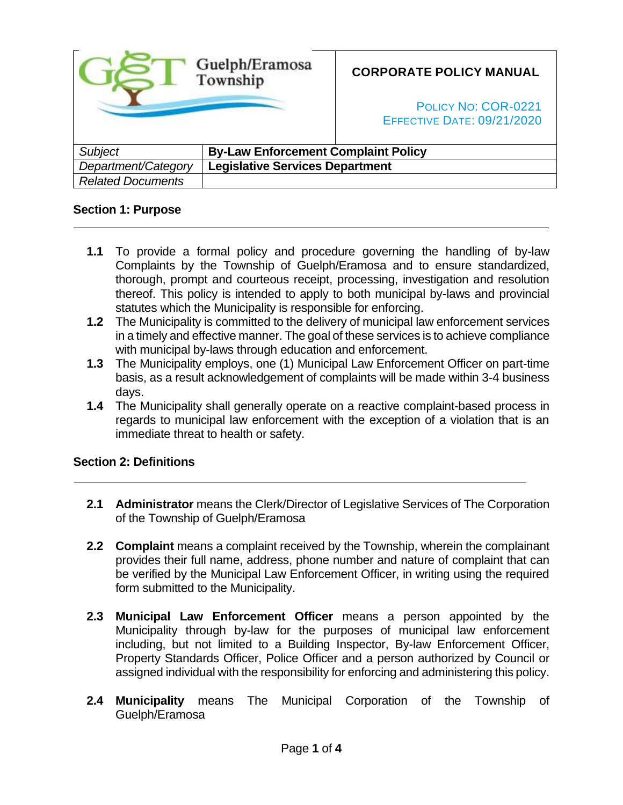|                          | Guelph/Eramosa<br>Township                 | <b>CORPORATE POLICY MANUAL</b><br>POLICY NO: COR-0221<br><b>EFFECTIVE DATE: 09/21/2020</b> |
|--------------------------|--------------------------------------------|--------------------------------------------------------------------------------------------|
| <b>Subject</b>           | <b>By-Law Enforcement Complaint Policy</b> |                                                                                            |
| Department/Category      | <b>Legislative Services Department</b>     |                                                                                            |
| <b>Related Documents</b> |                                            |                                                                                            |

### **Section 1: Purpose**

- **1.1** To provide a formal policy and procedure governing the handling of by-law Complaints by the Township of Guelph/Eramosa and to ensure standardized, thorough, prompt and courteous receipt, processing, investigation and resolution thereof. This policy is intended to apply to both municipal by-laws and provincial statutes which the Municipality is responsible for enforcing.
- **1.2** The Municipality is committed to the delivery of municipal law enforcement services in a timely and effective manner. The goal of these services is to achieve compliance with municipal by-laws through education and enforcement.
- **1.3** The Municipality employs, one (1) Municipal Law Enforcement Officer on part-time basis, as a result acknowledgement of complaints will be made within 3-4 business days.
- **1.4** The Municipality shall generally operate on a reactive complaint-based process in regards to municipal law enforcement with the exception of a violation that is an immediate threat to health or safety.

## **Section 2: Definitions**

- **2.1 Administrator** means the Clerk/Director of Legislative Services of The Corporation of the Township of Guelph/Eramosa
- **2.2 Complaint** means a complaint received by the Township, wherein the complainant provides their full name, address, phone number and nature of complaint that can be verified by the Municipal Law Enforcement Officer, in writing using the required form submitted to the Municipality.
- **2.3 Municipal Law Enforcement Officer** means a person appointed by the Municipality through by-law for the purposes of municipal law enforcement including, but not limited to a Building Inspector, By-law Enforcement Officer, Property Standards Officer, Police Officer and a person authorized by Council or assigned individual with the responsibility for enforcing and administering this policy.
- **2.4 Municipality** means The Municipal Corporation of the Township of Guelph/Eramosa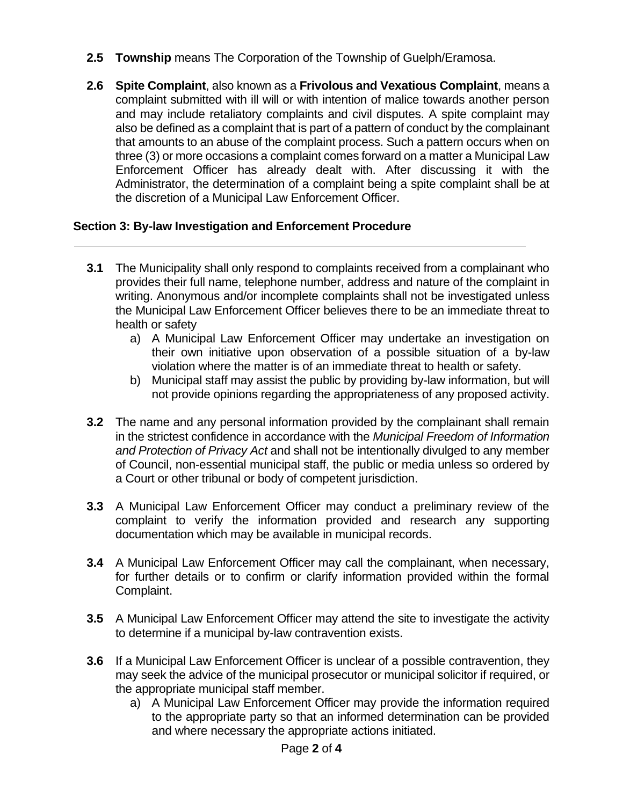- **2.5 Township** means The Corporation of the Township of Guelph/Eramosa.
- **2.6 Spite Complaint**, also known as a **Frivolous and Vexatious Complaint**, means a complaint submitted with ill will or with intention of malice towards another person and may include retaliatory complaints and civil disputes. A spite complaint may also be defined as a complaint that is part of a pattern of conduct by the complainant that amounts to an abuse of the complaint process. Such a pattern occurs when on three (3) or more occasions a complaint comes forward on a matter a Municipal Law Enforcement Officer has already dealt with. After discussing it with the Administrator, the determination of a complaint being a spite complaint shall be at the discretion of a Municipal Law Enforcement Officer.

# **Section 3: By-law Investigation and Enforcement Procedure**

- **3.1** The Municipality shall only respond to complaints received from a complainant who provides their full name, telephone number, address and nature of the complaint in writing. Anonymous and/or incomplete complaints shall not be investigated unless the Municipal Law Enforcement Officer believes there to be an immediate threat to health or safety
	- a) A Municipal Law Enforcement Officer may undertake an investigation on their own initiative upon observation of a possible situation of a by-law violation where the matter is of an immediate threat to health or safety.
	- b) Municipal staff may assist the public by providing by-law information, but will not provide opinions regarding the appropriateness of any proposed activity.
- **3.2** The name and any personal information provided by the complainant shall remain in the strictest confidence in accordance with the *Municipal Freedom of Information and Protection of Privacy Act* and shall not be intentionally divulged to any member of Council, non-essential municipal staff, the public or media unless so ordered by a Court or other tribunal or body of competent jurisdiction.
- **3.3** A Municipal Law Enforcement Officer may conduct a preliminary review of the complaint to verify the information provided and research any supporting documentation which may be available in municipal records.
- **3.4** A Municipal Law Enforcement Officer may call the complainant, when necessary, for further details or to confirm or clarify information provided within the formal Complaint.
- **3.5** A Municipal Law Enforcement Officer may attend the site to investigate the activity to determine if a municipal by-law contravention exists.
- **3.6** If a Municipal Law Enforcement Officer is unclear of a possible contravention, they may seek the advice of the municipal prosecutor or municipal solicitor if required, or the appropriate municipal staff member.
	- a) A Municipal Law Enforcement Officer may provide the information required to the appropriate party so that an informed determination can be provided and where necessary the appropriate actions initiated.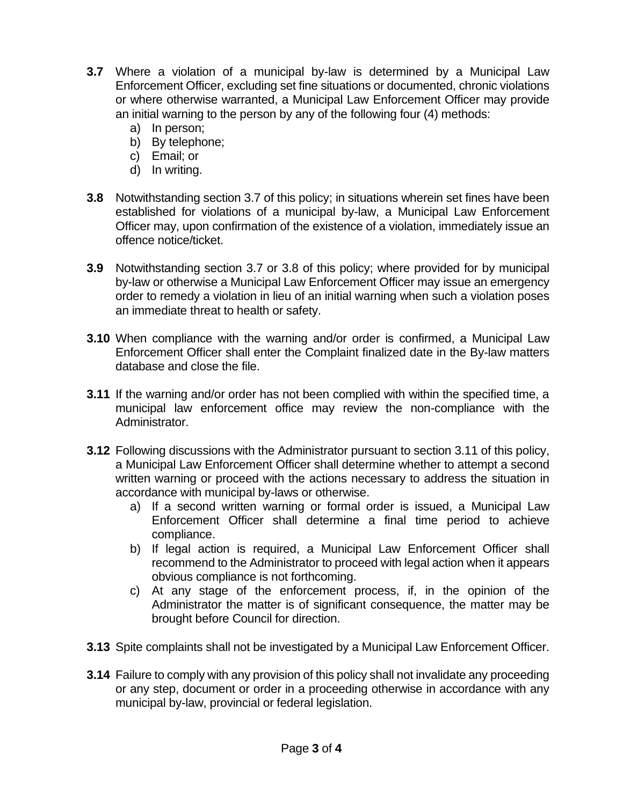- **3.7** Where a violation of a municipal by-law is determined by a Municipal Law Enforcement Officer, excluding set fine situations or documented, chronic violations or where otherwise warranted, a Municipal Law Enforcement Officer may provide an initial warning to the person by any of the following four (4) methods:
	- a) In person;
	- b) By telephone;
	- c) Email; or
	- d) In writing.
- **3.8** Notwithstanding section 3.7 of this policy; in situations wherein set fines have been established for violations of a municipal by-law, a Municipal Law Enforcement Officer may, upon confirmation of the existence of a violation, immediately issue an offence notice/ticket.
- **3.9** Notwithstanding section 3.7 or 3.8 of this policy; where provided for by municipal by-law or otherwise a Municipal Law Enforcement Officer may issue an emergency order to remedy a violation in lieu of an initial warning when such a violation poses an immediate threat to health or safety.
- **3.10** When compliance with the warning and/or order is confirmed, a Municipal Law Enforcement Officer shall enter the Complaint finalized date in the By-law matters database and close the file.
- **3.11** If the warning and/or order has not been complied with within the specified time, a municipal law enforcement office may review the non-compliance with the Administrator.
- **3.12** Following discussions with the Administrator pursuant to section 3.11 of this policy, a Municipal Law Enforcement Officer shall determine whether to attempt a second written warning or proceed with the actions necessary to address the situation in accordance with municipal by-laws or otherwise.
	- a) If a second written warning or formal order is issued, a Municipal Law Enforcement Officer shall determine a final time period to achieve compliance.
	- b) If legal action is required, a Municipal Law Enforcement Officer shall recommend to the Administrator to proceed with legal action when it appears obvious compliance is not forthcoming.
	- c) At any stage of the enforcement process, if, in the opinion of the Administrator the matter is of significant consequence, the matter may be brought before Council for direction.
- **3.13** Spite complaints shall not be investigated by a Municipal Law Enforcement Officer.
- **3.14** Failure to comply with any provision of this policy shall not invalidate any proceeding or any step, document or order in a proceeding otherwise in accordance with any municipal by-law, provincial or federal legislation.